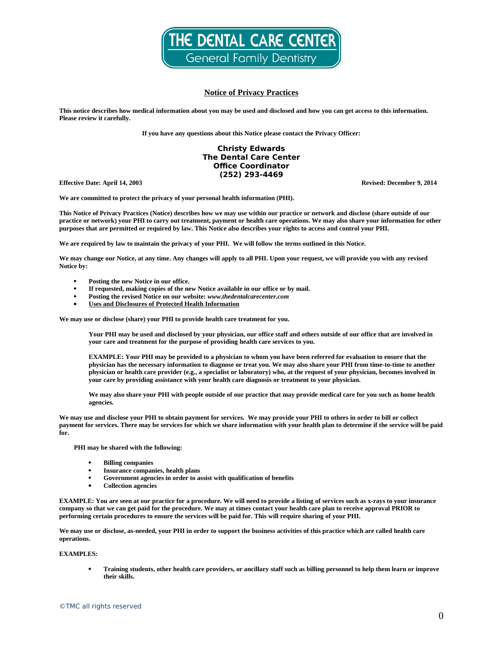

# **Notice of Privacy Practices**

**This notice describes how medical information about you may be used and disclosed and how you can get access to this information. Please review it carefully.** 

**If you have any questions about this Notice please contact the Privacy Officer:**

## **Christy Edwards The Dental Care Center Office Coordinator (252) 293-4469**

**Effective Date: April 14, 2003 Revised: December 9, 2014**

**We are committed to protect the privacy of your personal health information (PHI).**

**This Notice of Privacy Practices (Notice) describes how we may use within our practice or network and disclose (share outside of our practice or network) your PHI to carry out treatment, payment or health care operations. We may also share your information for other purposes that are permitted or required by law. This Notice also describes your rights to access and control your PHI.** 

**We are required by law to maintain the privacy of your PHI. We will follow the terms outlined in this Notice.** 

**We may change our Notice, at any time. Any changes will apply to all PHI. Upon your request, we will provide you with any revised Notice by:**

- **Posting the new Notice in our office.**
- **If requested, making copies of the new Notice available in our office or by mail.**
- **Posting the revised Notice on our website:** *www.thedentalcarecenter.com*
- **Uses and Disclosures of Protected Health Information**

**We may use or disclose (share) your PHI to provide health care treatment for you.** 

**Your PHI may be used and disclosed by your physician, our office staff and others outside of our office that are involved in your care and treatment for the purpose of providing health care services to you.** 

**EXAMPLE: Your PHI may be provided to a physician to whom you have been referred for evaluation to ensure that the physician has the necessary information to diagnose or treat you. We may also share your PHI from time-to-time to another physician or health care provider (e.g., a specialist or laboratory) who, at the request of your physician, becomes involved in your care by providing assistance with your health care diagnosis or treatment to your physician.** 

**We may also share your PHI with people outside of our practice that may provide medical care for you such as home health agencies.**

**We may use and disclose your PHI to obtain payment for services. We may provide your PHI to others in order to bill or collect payment for services. There may be services for which we share information with your health plan to determine if the service will be paid for.**

**PHI may be shared with the following:**

- **Billing companies**
- **Insurance companies, health plans**
- **Government agencies in order to assist with qualification of benefits**
- **Collection agencies**

**EXAMPLE: You are seen at our practice for a procedure. We will need to provide a listing of services such as x-rays to your insurance company so that we can get paid for the procedure. We may at times contact your health care plan to receive approval PRIOR to performing certain procedures to ensure the services will be paid for. This will require sharing of your PHI.** 

**We may use or disclose, as-needed, your PHI in order to support the business activities of this practice which are called health care operations.** 

#### **EXAMPLES:**

 **Training students, other health care providers, or ancillary staff such as billing personnel to help them learn or improve their skills.**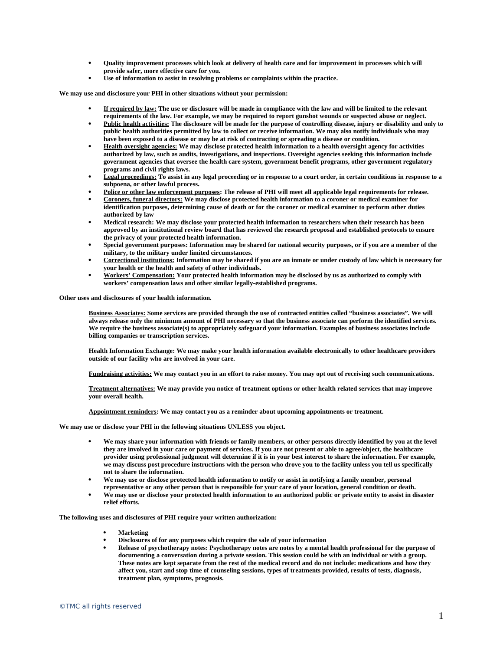- **Quality improvement processes which look at delivery of health care and for improvement in processes which will provide safer, more effective care for you.**
- **Use of information to assist in resolving problems or complaints within the practice.**

**We may use and disclosure your PHI in other situations without your permission:**

- **If required by law: The use or disclosure will be made in compliance with the law and will be limited to the relevant requirements of the law. For example, we may be required to report gunshot wounds or suspected abuse or neglect.**
- **Public health activities: The disclosure will be made for the purpose of controlling disease, injury or disability and only to public health authorities permitted by law to collect or receive information. We may also notify individuals who may have been exposed to a disease or may be at risk of contracting or spreading a disease or condition.**
- **Health oversight agencies: We may disclose protected health information to a health oversight agency for activities authorized by law, such as audits, investigations, and inspections. Oversight agencies seeking this information include government agencies that oversee the health care system, government benefit programs, other government regulatory programs and civil rights laws.**
- **Legal proceedings: To assist in any legal proceeding or in response to a court order, in certain conditions in response to a subpoena, or other lawful process.**
- **Police or other law enforcement purposes: The release of PHI will meet all applicable legal requirements for release.**
- **Coroners, funeral directors: We may disclose protected health information to a coroner or medical examiner for identification purposes, determining cause of death or for the coroner or medical examiner to perform other duties authorized by law**
- **Medical research: We may disclose your protected health information to researchers when their research has been approved by an institutional review board that has reviewed the research proposal and established protocols to ensure the privacy of your protected health information.**
- **Special government purposes: Information may be shared for national security purposes, or if you are a member of the military, to the military under limited circumstances.**
- **Correctional institutions: Information may be shared if you are an inmate or under custody of law which is necessary for your health or the health and safety of other individuals.**
- **Workers' Compensation: Your protected health information may be disclosed by us as authorized to comply with workers' compensation laws and other similar legally-established programs.**

**Other uses and disclosures of your health information.**

**Business Associates: Some services are provided through the use of contracted entities called "business associates". We will always release only the minimum amount of PHI necessary so that the business associate can perform the identified services. We require the business associate(s) to appropriately safeguard your information. Examples of business associates include billing companies or transcription services.**

**Health Information Exchange: We may make your health information available electronically to other healthcare providers outside of our facility who are involved in your care.** 

**Fundraising activities: We may contact you in an effort to raise money. You may opt out of receiving such communications.**

**Treatment alternatives: We may provide you notice of treatment options or other health related services that may improve your overall health.**

**Appointment reminders: We may contact you as a reminder about upcoming appointments or treatment.** 

**We may use or disclose your PHI in the following situations UNLESS you object.**

- **We may share your information with friends or family members, or other persons directly identified by you at the level they are involved in your care or payment of services. If you are not present or able to agree/object, the healthcare provider using professional judgment will determine if it is in your best interest to share the information. For example, we may discuss post procedure instructions with the person who drove you to the facility unless you tell us specifically not to share the information.**
- **We may use or disclose protected health information to notify or assist in notifying a family member, personal representative or any other person that is responsible for your care of your location, general condition or death.**
- **We may use or disclose your protected health information to an authorized public or private entity to assist in disaster relief efforts.**

**The following uses and disclosures of PHI require your written authorization:**

- **Marketing**
- **Disclosures of for any purposes which require the sale of your information**
- **Release of psychotherapy notes: Psychotherapy notes are notes by a mental health professional for the purpose of documenting a conversation during a private session. This session could be with an individual or with a group. These notes are kept separate from the rest of the medical record and do not include: medications and how they affect you, start and stop time of counseling sessions, types of treatments provided, results of tests, diagnosis, treatment plan, symptoms, prognosis.**